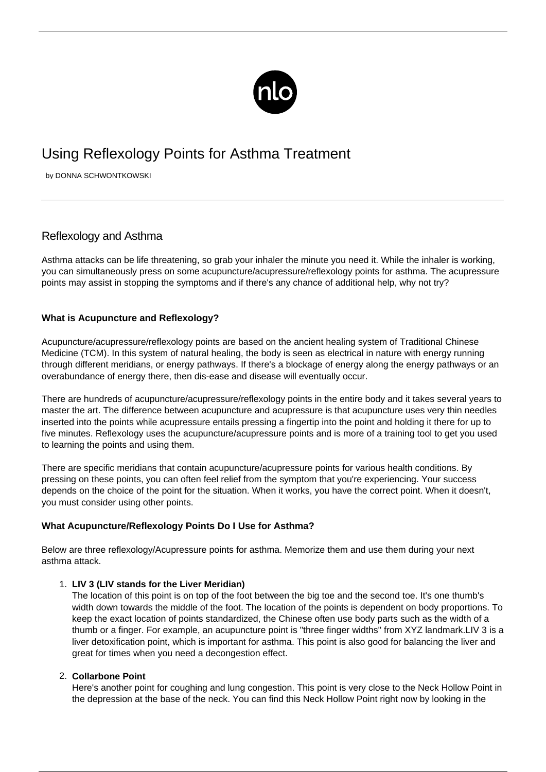

# Using Reflexology Points for Asthma Treatment

by DONNA SCHWONTKOWSKI

## Reflexology and Asthma

Asthma attacks can be life threatening, so grab your inhaler the minute you need it. While the inhaler is working, you can simultaneously press on some acupuncture/acupressure/reflexology points for asthma. The [acupressure](http://ibs.newlifeoutlook.com/acupressure-ibs/) [points](http://ibs.newlifeoutlook.com/acupressure-ibs/) may assist in stopping the symptoms and if there's any chance of additional help, why not try?

## **What is Acupuncture and Reflexology?**

Acupuncture/acupressure/reflexology points are based on the ancient healing system of Traditional Chinese Medicine (TCM). In this system of natural healing, the body is seen as electrical in nature with energy running through different meridians, or energy pathways. If there's a blockage of energy along the energy pathways or an overabundance of energy there, then dis-ease and disease will eventually occur.

There are hundreds of acupuncture/acupressure/reflexology points in the entire body and it takes several years to master the art. The difference between acupuncture and acupressure is that acupuncture uses very thin needles inserted into the points while acupressure entails pressing a fingertip into the point and holding it there for up to five minutes. Reflexology uses the acupuncture/acupressure points and is more of a training tool to get you used to learning the points and using them.

There are specific meridians that contain acupuncture/acupressure points for various health conditions. By pressing on these points, you can often feel relief from the symptom that you're experiencing. Your success depends on the choice of the point for the situation. When it works, you have the correct point. When it doesn't, you must consider using other points.

## **What Acupuncture/Reflexology Points Do I Use for Asthma?**

Below are three reflexology/Acupressure points for asthma. Memorize them and use them during your next asthma attack.

### 1. **LIV 3 (LIV stands for the Liver Meridian)**

The location of this point is on top of the foot between the big toe and the second toe. It's one thumb's width down towards the middle of the foot. The location of the points is dependent on body proportions. To keep the exact location of points standardized, the Chinese often use body parts such as the width of a thumb or a finger. For example, an acupuncture point is "three finger widths" from XYZ landmark.LIV 3 is a liver detoxification point, which is important for asthma. This point is also good for balancing the liver and great for times when you need a decongestion effect.

### 2. **Collarbone Point**

Here's another point for coughing and lung congestion. This point is very close to the Neck Hollow Point in the depression at the base of the neck. You can find this Neck Hollow Point right now by looking in the